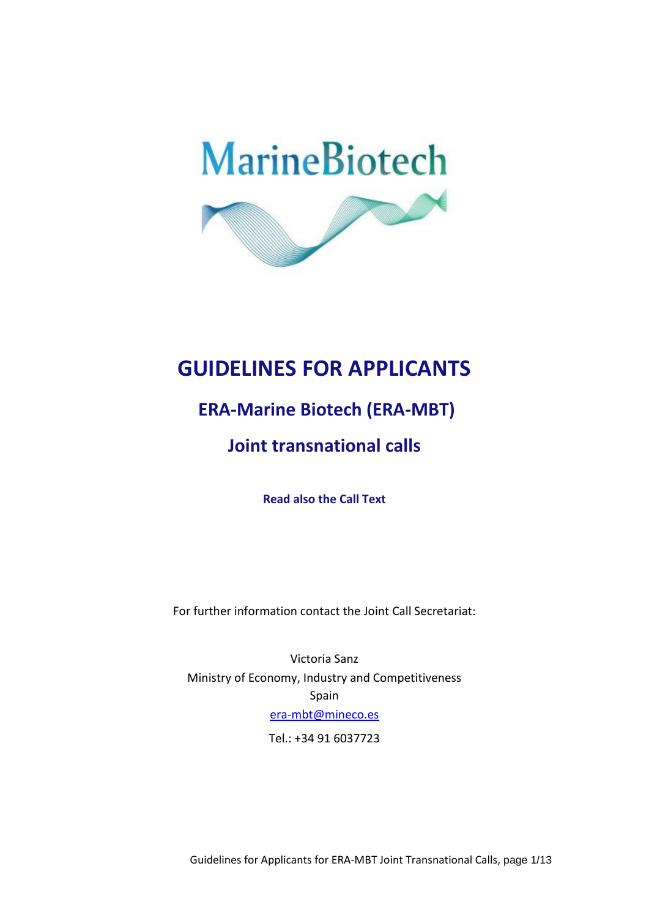

# **GUIDELINES FOR APPLICANTS**

# **ERA-Marine Biotech (ERA-MBT)**

# **Joint transnational calls**

**Read also the Call Text**

For further information contact the Joint Call Secretariat:

Victoria Sanz Ministry of Economy, Industry and Competitiveness Spain [era-mbt@mineco.es](mailto:era-mbt@mineco.es)

Tel.: +34 91 6037723

Guidelines for Applicants for ERA-MBT Joint Transnational Calls, page 1/13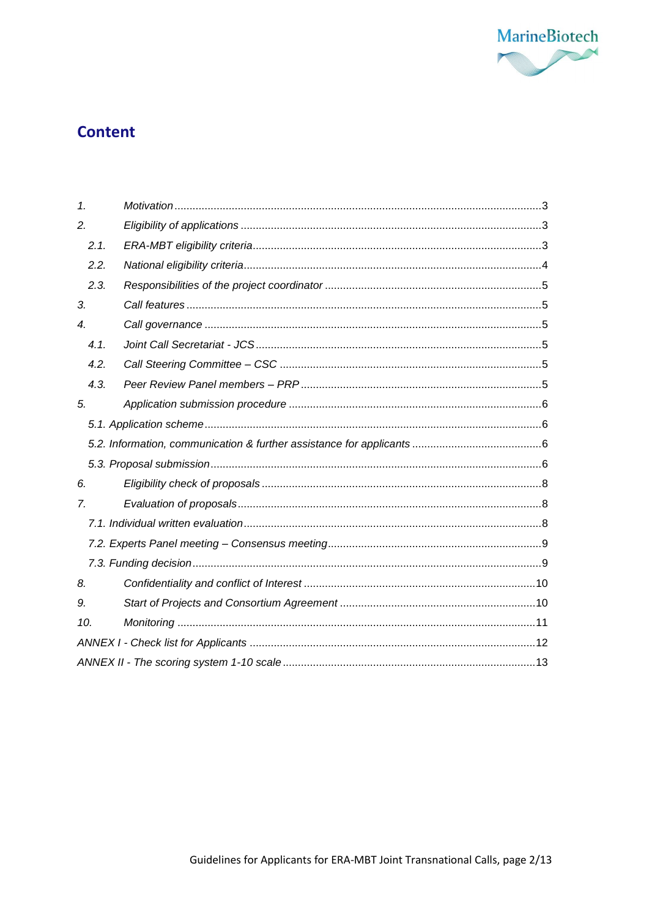

## **Content**

| 1 <sub>1</sub>   |      |  |  |  |
|------------------|------|--|--|--|
| 2.               |      |  |  |  |
|                  | 2.1. |  |  |  |
|                  | 2.2. |  |  |  |
|                  | 2.3. |  |  |  |
| 3.               |      |  |  |  |
| $\boldsymbol{4}$ |      |  |  |  |
|                  | 4.1. |  |  |  |
|                  | 4.2. |  |  |  |
|                  | 4.3. |  |  |  |
| 5.               |      |  |  |  |
|                  |      |  |  |  |
|                  |      |  |  |  |
|                  |      |  |  |  |
| 6.               |      |  |  |  |
| 7.               |      |  |  |  |
|                  |      |  |  |  |
|                  |      |  |  |  |
|                  |      |  |  |  |
| 8.               |      |  |  |  |
| 9.               |      |  |  |  |
| 10.              |      |  |  |  |
|                  |      |  |  |  |
|                  |      |  |  |  |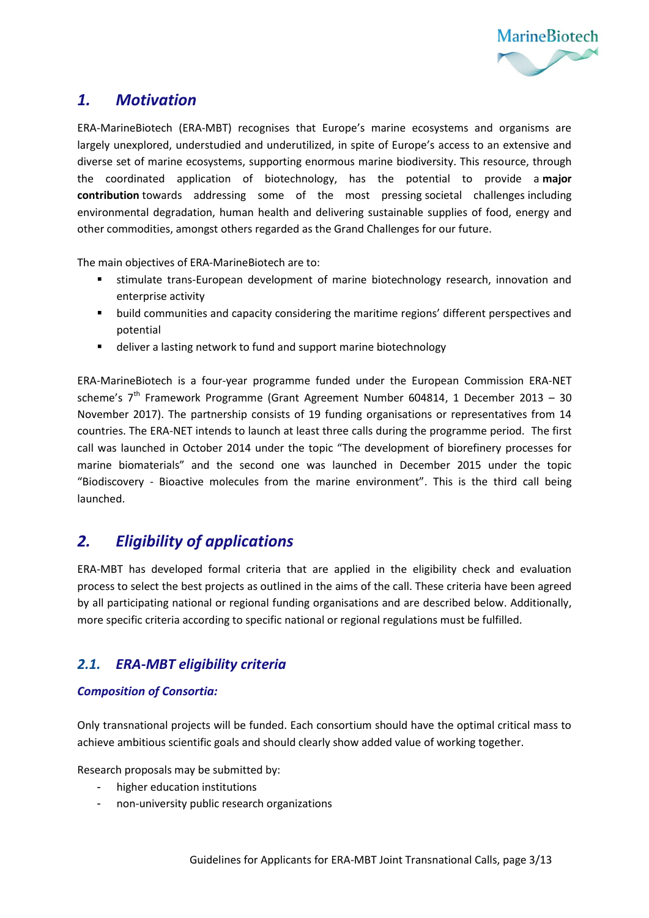

### <span id="page-2-0"></span>*1. Motivation*

ERA-MarineBiotech (ERA-MBT) recognises that Europe's marine ecosystems and organisms are largely unexplored, understudied and underutilized, in spite of Europe's access to an extensive and diverse set of marine ecosystems, supporting enormous marine biodiversity. This resource, through the coordinated application of biotechnology, has the potential to provide a **major contribution** towards addressing some of the most pressing societal challenges including environmental degradation, human health and delivering sustainable supplies of food, energy and other commodities, amongst others regarded as the Grand Challenges for our future.

The main objectives of ERA-MarineBiotech are to:

- stimulate trans-European development of marine biotechnology research, innovation and enterprise activity
- **•** build communities and capacity considering the maritime regions' different perspectives and potential
- deliver a lasting network to fund and support marine biotechnology

ERA-MarineBiotech is a four-year programme funded under the European Commission ERA-NET scheme's  $7<sup>th</sup>$  Framework Programme (Grant Agreement Number 604814, 1 December 2013 – 30 November 2017). The partnership consists of 19 funding organisations or representatives from 14 countries. The ERA-NET intends to launch at least three calls during the programme period. The first call was launched in October 2014 under the topic "The development of biorefinery processes for marine biomaterials" and the second one was launched in December 2015 under the topic "Biodiscovery - Bioactive molecules from the marine environment". This is the third call being launched.

## <span id="page-2-1"></span>*2. Eligibility of applications*

ERA-MBT has developed formal criteria that are applied in the eligibility check and evaluation process to select the best projects as outlined in the aims of the call. These criteria have been agreed by all participating national or regional funding organisations and are described below. Additionally, more specific criteria according to specific national or regional regulations must be fulfilled.

#### <span id="page-2-2"></span>*2.1. ERA-MBT eligibility criteria*

#### *Composition of Consortia:*

Only transnational projects will be funded. Each consortium should have the optimal critical mass to achieve ambitious scientific goals and should clearly show added value of working together.

Research proposals may be submitted by:

- higher education institutions
- non-university public research organizations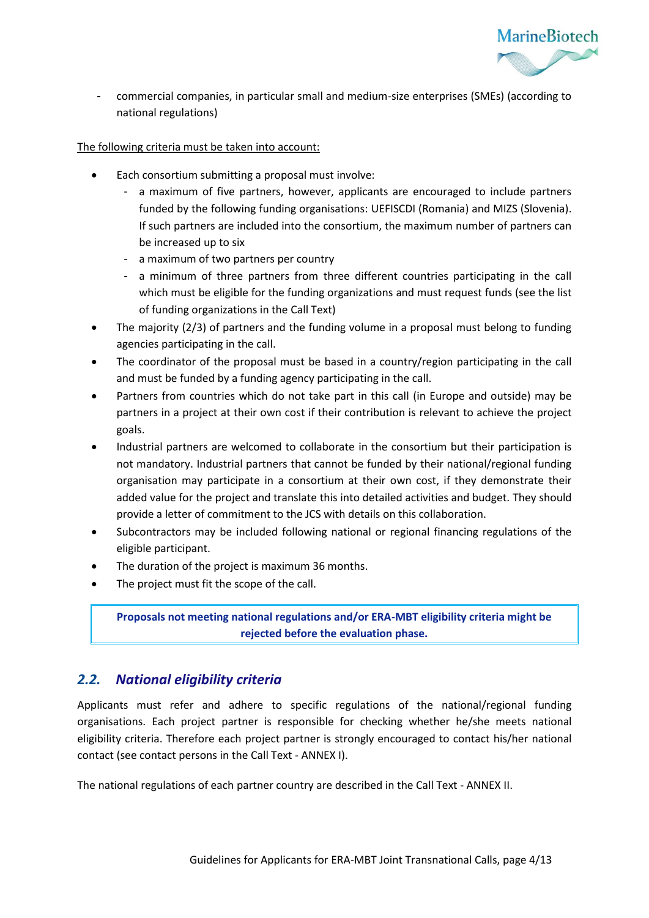

- commercial companies, in particular small and medium-size enterprises (SMEs) (according to national regulations)

The following criteria must be taken into account:

- Each consortium submitting a proposal must involve:
	- a maximum of five partners, however, applicants are encouraged to include partners funded by the following funding organisations: UEFISCDI (Romania) and MIZS (Slovenia). If such partners are included into the consortium, the maximum number of partners can be increased up to six
	- a maximum of two partners per country
	- a minimum of three partners from three different countries participating in the call which must be eligible for the funding organizations and must request funds (see the list of funding organizations in the Call Text)
- The majority (2/3) of partners and the funding volume in a proposal must belong to funding agencies participating in the call.
- The coordinator of the proposal must be based in a country/region participating in the call and must be funded by a funding agency participating in the call.
- Partners from countries which do not take part in this call (in Europe and outside) may be partners in a project at their own cost if their contribution is relevant to achieve the project goals.
- Industrial partners are welcomed to collaborate in the consortium but their participation is not mandatory. Industrial partners that cannot be funded by their national/regional funding organisation may participate in a consortium at their own cost, if they demonstrate their added value for the project and translate this into detailed activities and budget. They should provide a letter of commitment to the JCS with details on this collaboration.
- Subcontractors may be included following national or regional financing regulations of the eligible participant.
- The duration of the project is maximum 36 months.
- The project must fit the scope of the call.

**Proposals not meeting national regulations and/or ERA-MBT eligibility criteria might be rejected before the evaluation phase.**

#### <span id="page-3-0"></span>*2.2. National eligibility criteria*

Applicants must refer and adhere to specific regulations of the national/regional funding organisations. Each project partner is responsible for checking whether he/she meets national eligibility criteria. Therefore each project partner is strongly encouraged to contact his/her national contact (see contact persons in the Call Text - ANNEX I).

The national regulations of each partner country are described in the Call Text - ANNEX II.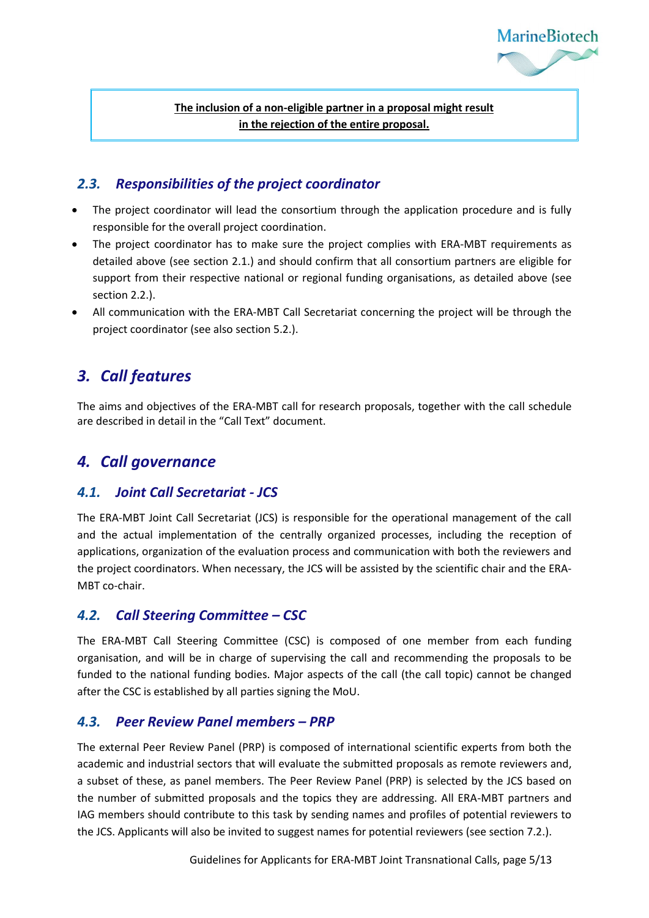

**The inclusion of a non-eligible partner in a proposal might result in the rejection of the entire proposal.**

#### <span id="page-4-0"></span>*2.3. Responsibilities of the project coordinator*

- The project coordinator will lead the consortium through the application procedure and is fully responsible for the overall project coordination.
- The project coordinator has to make sure the project complies with ERA-MBT requirements as detailed above (see section 2.1.) and should confirm that all consortium partners are eligible for support from their respective national or regional funding organisations, as detailed above (see section 2.2.).
- All communication with the ERA-MBT Call Secretariat concerning the project will be through the project coordinator (see also section 5.2.).

## <span id="page-4-1"></span>*3. Call features*

The aims and objectives of the ERA-MBT call for research proposals, together with the call schedule are described in detail in the "Call Text" document.

### <span id="page-4-2"></span>*4. Call governance*

#### <span id="page-4-3"></span>*4.1. Joint Call Secretariat - JCS*

The ERA-MBT Joint Call Secretariat (JCS) is responsible for the operational management of the call and the actual implementation of the centrally organized processes, including the reception of applications, organization of the evaluation process and communication with both the reviewers and the project coordinators. When necessary, the JCS will be assisted by the scientific chair and the ERA-MBT co-chair.

#### <span id="page-4-4"></span>*4.2. Call Steering Committee – CSC*

The ERA-MBT Call Steering Committee (CSC) is composed of one member from each funding organisation, and will be in charge of supervising the call and recommending the proposals to be funded to the national funding bodies. Major aspects of the call (the call topic) cannot be changed after the CSC is established by all parties signing the MoU.

#### <span id="page-4-5"></span>*4.3. Peer Review Panel members – PRP*

The external Peer Review Panel (PRP) is composed of international scientific experts from both the academic and industrial sectors that will evaluate the submitted proposals as remote reviewers and, a subset of these, as panel members. The Peer Review Panel (PRP) is selected by the JCS based on the number of submitted proposals and the topics they are addressing. All ERA-MBT partners and IAG members should contribute to this task by sending names and profiles of potential reviewers to the JCS. Applicants will also be invited to suggest names for potential reviewers (see section 7.2.).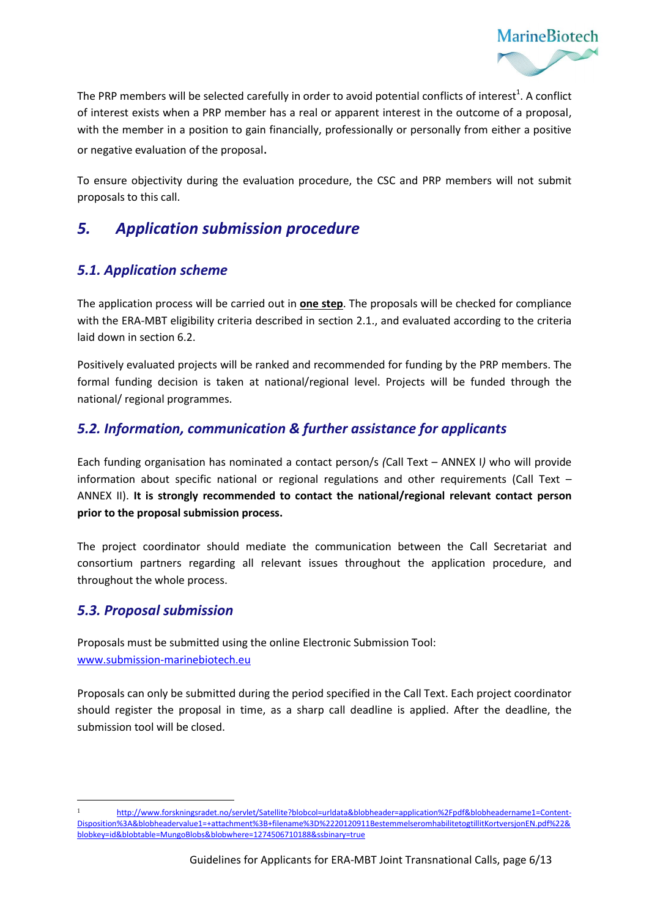

The PRP members will be selected carefully in order to avoid potential conflicts of interest<sup>1</sup>. A conflict of interest exists when a PRP member has a real or apparent interest in the outcome of a proposal, with the member in a position to gain financially, professionally or personally from either a positive or negative evaluation of the proposal.

To ensure objectivity during the evaluation procedure, the CSC and PRP members will not submit proposals to this call.

### <span id="page-5-0"></span>*5. Application submission procedure*

#### <span id="page-5-1"></span>*5.1. Application scheme*

The application process will be carried out in **one step**. The proposals will be checked for compliance with the ERA-MBT eligibility criteria described in section 2.1., and evaluated according to the criteria laid down in section 6.2.

Positively evaluated projects will be ranked and recommended for funding by the PRP members. The formal funding decision is taken at national/regional level. Projects will be funded through the national/ regional programmes.

#### <span id="page-5-2"></span>*5.2. Information, communication & further assistance for applicants*

Each funding organisation has nominated a contact person/s *(*Call Text – ANNEX I*)* who will provide information about specific national or regional regulations and other requirements (Call Text – ANNEX II). **It is strongly recommended to contact the national/regional relevant contact person prior to the proposal submission process.** 

The project coordinator should mediate the communication between the Call Secretariat and consortium partners regarding all relevant issues throughout the application procedure, and throughout the whole process.

#### <span id="page-5-3"></span>*5.3. Proposal submission*

l

Proposals must be submitted using the online Electronic Submission Tool: [www.submission-marinebiotech.eu](http://www.submission-marinebiotech.eu/)

Proposals can only be submitted during the period specified in the Call Text. Each project coordinator should register the proposal in time, as a sharp call deadline is applied. After the deadline, the submission tool will be closed.

<sup>1</sup> [http://www.forskningsradet.no/servlet/Satellite?blobcol=urldata&blobheader=application%2Fpdf&blobheadername1=Content-](http://www.forskningsradet.no/servlet/Satellite?blobcol=urldata&blobheader=application%2Fpdf&blobheadername1=Content-Disposition%3A&blobheadervalue1=+attachment%3B+filename%3D%2220120911BestemmelseromhabilitetogtillitKortversjonEN.pdf%22&blobkey=id&blobtable=MungoBlobs&blobwhere=1274506710188&ssbinary=true)[Disposition%3A&blobheadervalue1=+attachment%3B+filename%3D%2220120911BestemmelseromhabilitetogtillitKortversjonEN.pdf%22&](http://www.forskningsradet.no/servlet/Satellite?blobcol=urldata&blobheader=application%2Fpdf&blobheadername1=Content-Disposition%3A&blobheadervalue1=+attachment%3B+filename%3D%2220120911BestemmelseromhabilitetogtillitKortversjonEN.pdf%22&blobkey=id&blobtable=MungoBlobs&blobwhere=1274506710188&ssbinary=true) [blobkey=id&blobtable=MungoBlobs&blobwhere=1274506710188&ssbinary=true](http://www.forskningsradet.no/servlet/Satellite?blobcol=urldata&blobheader=application%2Fpdf&blobheadername1=Content-Disposition%3A&blobheadervalue1=+attachment%3B+filename%3D%2220120911BestemmelseromhabilitetogtillitKortversjonEN.pdf%22&blobkey=id&blobtable=MungoBlobs&blobwhere=1274506710188&ssbinary=true)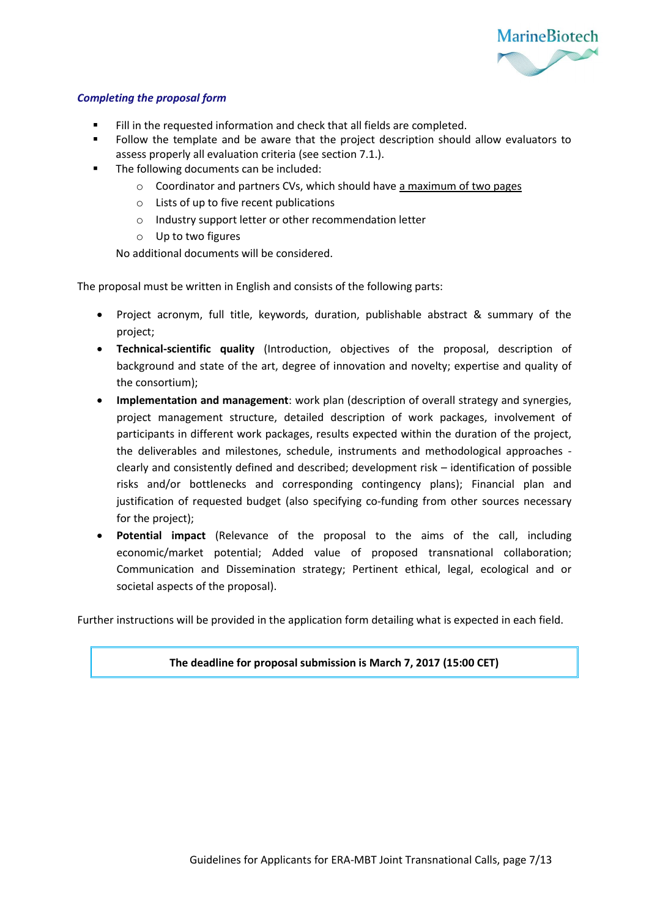

#### *Completing the proposal form*

- Fill in the requested information and check that all fields are completed.
- Follow the template and be aware that the project description should allow evaluators to assess properly all evaluation criteria (see section 7.1.).
- The following documents can be included:
	- $\circ$  Coordinator and partners CVs, which should have a maximum of two pages
	- o Lists of up to five recent publications
	- o Industry support letter or other recommendation letter
	- o Up to two figures

No additional documents will be considered.

The proposal must be written in English and consists of the following parts:

- Project acronym, full title, keywords, duration, publishable abstract & summary of the project;
- **Technical-scientific quality** (Introduction, objectives of the proposal, description of background and state of the art, degree of innovation and novelty; expertise and quality of the consortium);
- **Implementation and management**: work plan (description of overall strategy and synergies, project management structure, detailed description of work packages, involvement of participants in different work packages, results expected within the duration of the project, the deliverables and milestones, schedule, instruments and methodological approaches clearly and consistently defined and described; development risk – identification of possible risks and/or bottlenecks and corresponding contingency plans); Financial plan and justification of requested budget (also specifying co-funding from other sources necessary for the project);
- **Potential impact** (Relevance of the proposal to the aims of the call, including economic/market potential; Added value of proposed transnational collaboration; Communication and Dissemination strategy; Pertinent ethical, legal, ecological and or societal aspects of the proposal).

Further instructions will be provided in the application form detailing what is expected in each field.

**The deadline for proposal submission is March 7, 2017 (15:00 CET)**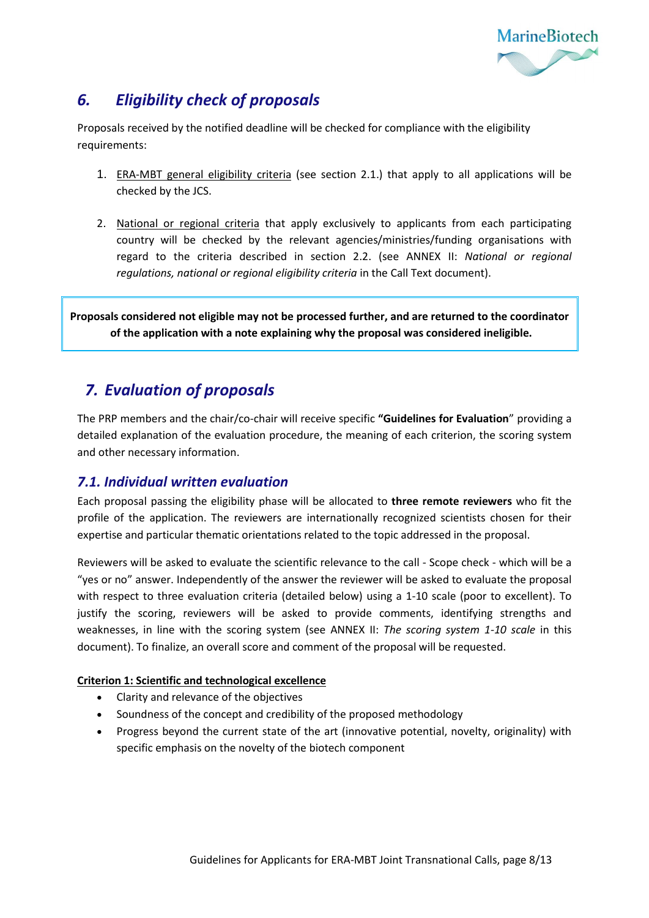

## <span id="page-7-0"></span>*6. Eligibility check of proposals*

Proposals received by the notified deadline will be checked for compliance with the eligibility requirements:

- 1. ERA-MBT general eligibility criteria (see section 2.1.) that apply to all applications will be checked by the JCS.
- 2. National or regional criteria that apply exclusively to applicants from each participating country will be checked by the relevant agencies/ministries/funding organisations with regard to the criteria described in section 2.2. (see ANNEX II: *National or regional regulations, national or regional eligibility criteria* in the Call Text document).

**Proposals considered not eligible may not be processed further, and are returned to the coordinator of the application with a note explaining why the proposal was considered ineligible.**

## <span id="page-7-1"></span>*7. Evaluation of proposals*

The PRP members and the chair/co-chair will receive specific **"Guidelines for Evaluation**" providing a detailed explanation of the evaluation procedure, the meaning of each criterion, the scoring system and other necessary information.

#### <span id="page-7-2"></span>*7.1. Individual written evaluation*

Each proposal passing the eligibility phase will be allocated to **three remote reviewers** who fit the profile of the application. The reviewers are internationally recognized scientists chosen for their expertise and particular thematic orientations related to the topic addressed in the proposal.

Reviewers will be asked to evaluate the scientific relevance to the call - Scope check - which will be a "yes or no" answer. Independently of the answer the reviewer will be asked to evaluate the proposal with respect to three evaluation criteria (detailed below) using a 1-10 scale (poor to excellent). To justify the scoring, reviewers will be asked to provide comments, identifying strengths and weaknesses, in line with the scoring system (see ANNEX II: *The scoring system 1-10 scale* in this document). To finalize, an overall score and comment of the proposal will be requested.

#### **Criterion 1: Scientific and technological excellence**

- Clarity and relevance of the objectives
- Soundness of the concept and credibility of the proposed methodology
- Progress beyond the current state of the art (innovative potential, novelty, originality) with specific emphasis on the novelty of the biotech component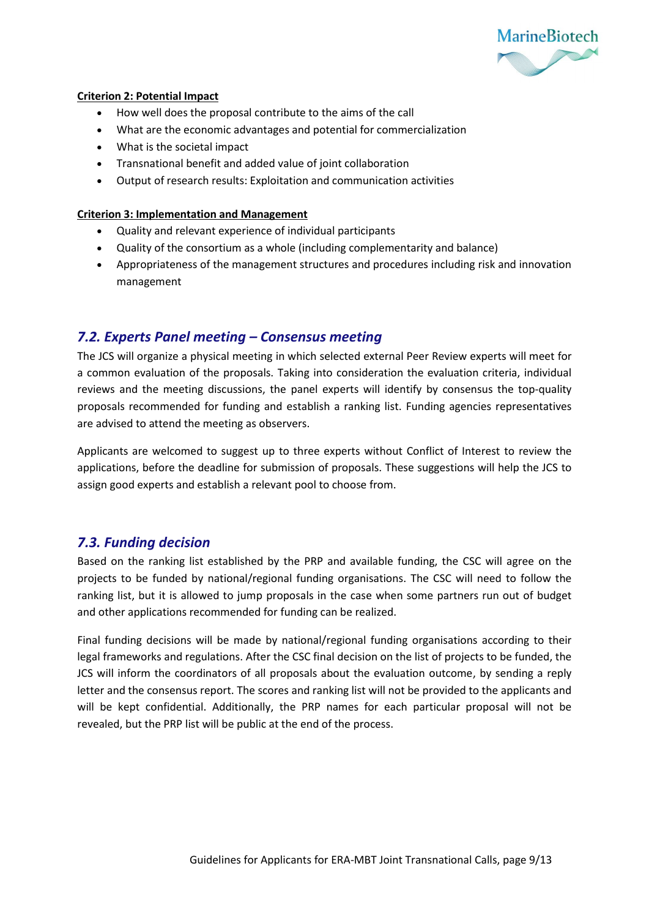

#### **Criterion 2: Potential Impact**

- How well does the proposal contribute to the aims of the call
- What are the economic advantages and potential for commercialization
- What is the societal impact
- Transnational benefit and added value of joint collaboration
- Output of research results: Exploitation and communication activities

#### **Criterion 3: Implementation and Management**

- Quality and relevant experience of individual participants
- Quality of the consortium as a whole (including complementarity and balance)
- Appropriateness of the management structures and procedures including risk and innovation management

#### <span id="page-8-0"></span>*7.2. Experts Panel meeting – Consensus meeting*

The JCS will organize a physical meeting in which selected external Peer Review experts will meet for a common evaluation of the proposals. Taking into consideration the evaluation criteria, individual reviews and the meeting discussions, the panel experts will identify by consensus the top-quality proposals recommended for funding and establish a ranking list. Funding agencies representatives are advised to attend the meeting as observers.

Applicants are welcomed to suggest up to three experts without Conflict of Interest to review the applications, before the deadline for submission of proposals. These suggestions will help the JCS to assign good experts and establish a relevant pool to choose from.

#### <span id="page-8-1"></span>*7.3. Funding decision*

Based on the ranking list established by the PRP and available funding, the CSC will agree on the projects to be funded by national/regional funding organisations. The CSC will need to follow the ranking list, but it is allowed to jump proposals in the case when some partners run out of budget and other applications recommended for funding can be realized.

Final funding decisions will be made by national/regional funding organisations according to their legal frameworks and regulations. After the CSC final decision on the list of projects to be funded, the JCS will inform the coordinators of all proposals about the evaluation outcome, by sending a reply letter and the consensus report. The scores and ranking list will not be provided to the applicants and will be kept confidential. Additionally, the PRP names for each particular proposal will not be revealed, but the PRP list will be public at the end of the process.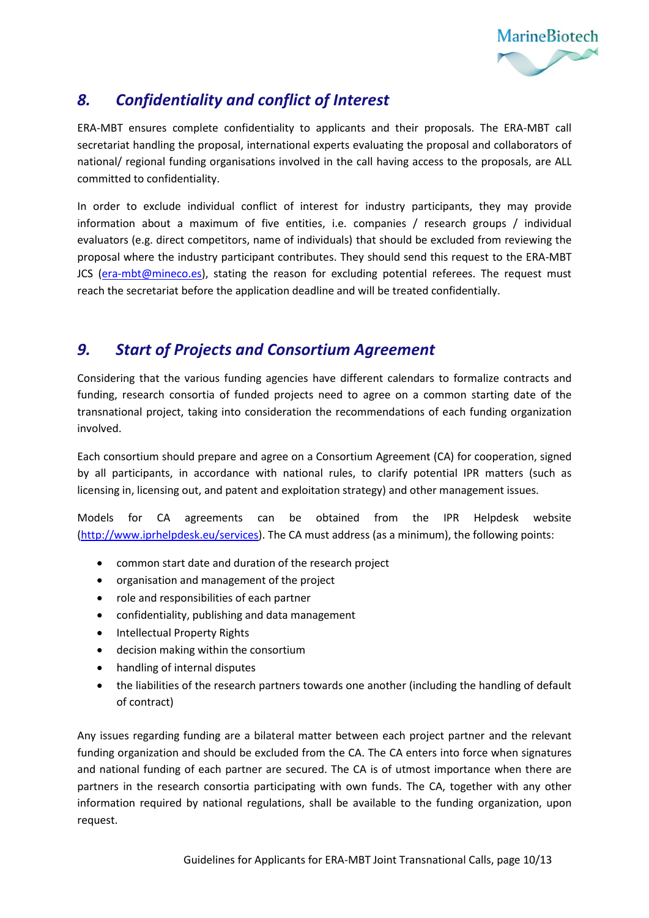

## <span id="page-9-0"></span>*8. Confidentiality and conflict of Interest*

ERA-MBT ensures complete confidentiality to applicants and their proposals. The ERA-MBT call secretariat handling the proposal, international experts evaluating the proposal and collaborators of national/ regional funding organisations involved in the call having access to the proposals, are ALL committed to confidentiality.

In order to exclude individual conflict of interest for industry participants, they may provide information about a maximum of five entities, i.e. companies / research groups / individual evaluators (e.g. direct competitors, name of individuals) that should be excluded from reviewing the proposal where the industry participant contributes. They should send this request to the ERA-MBT JCS [\(era-mbt@mineco.es\)](mailto:era-mbt@mineco.es), stating the reason for excluding potential referees. The request must reach the secretariat before the application deadline and will be treated confidentially.

## <span id="page-9-1"></span>*9. Start of Projects and Consortium Agreement*

Considering that the various funding agencies have different calendars to formalize contracts and funding, research consortia of funded projects need to agree on a common starting date of the transnational project, taking into consideration the recommendations of each funding organization involved.

Each consortium should prepare and agree on a Consortium Agreement (CA) for cooperation, signed by all participants, in accordance with national rules, to clarify potential IPR matters (such as licensing in, licensing out, and patent and exploitation strategy) and other management issues.

Models for CA agreements can be obtained from the IPR Helpdesk website [\(http://www.iprhelpdesk.eu/services\)](http://www.iprhelpdesk.eu/services). The CA must address (as a minimum), the following points:

- common start date and duration of the research project
- organisation and management of the project
- role and responsibilities of each partner
- confidentiality, publishing and data management
- Intellectual Property Rights
- decision making within the consortium
- handling of internal disputes
- the liabilities of the research partners towards one another (including the handling of default of contract)

Any issues regarding funding are a bilateral matter between each project partner and the relevant funding organization and should be excluded from the CA. The CA enters into force when signatures and national funding of each partner are secured. The CA is of utmost importance when there are partners in the research consortia participating with own funds. The CA, together with any other information required by national regulations, shall be available to the funding organization, upon request.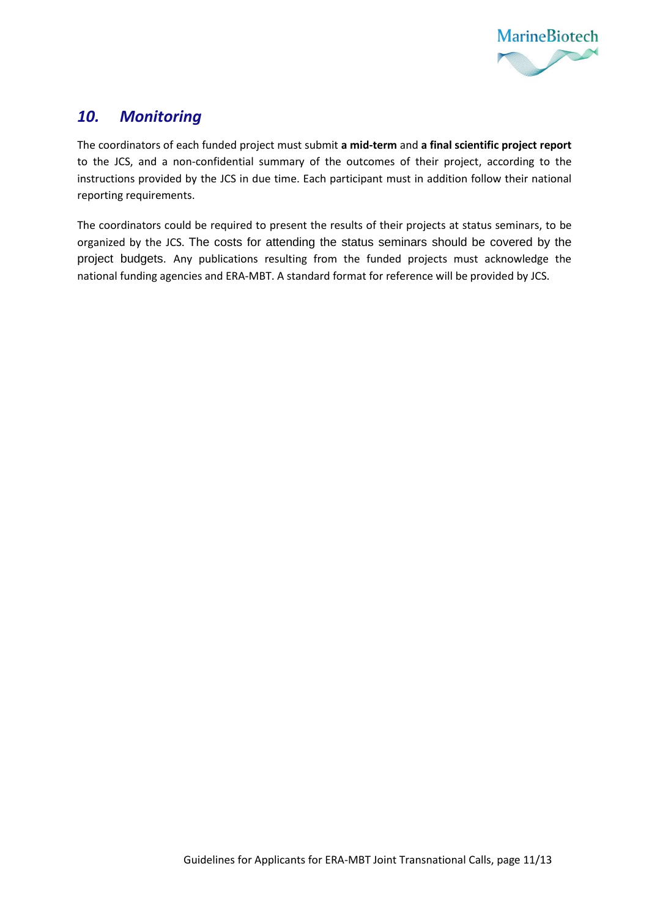

### <span id="page-10-0"></span>*10. Monitoring*

The coordinators of each funded project must submit **a mid-term** and **a final scientific project report** to the JCS, and a non-confidential summary of the outcomes of their project, according to the instructions provided by the JCS in due time. Each participant must in addition follow their national reporting requirements.

The coordinators could be required to present the results of their projects at status seminars, to be organized by the JCS. The costs for attending the status seminars should be covered by the project budgets. Any publications resulting from the funded projects must acknowledge the national funding agencies and ERA-MBT. A standard format for reference will be provided by JCS.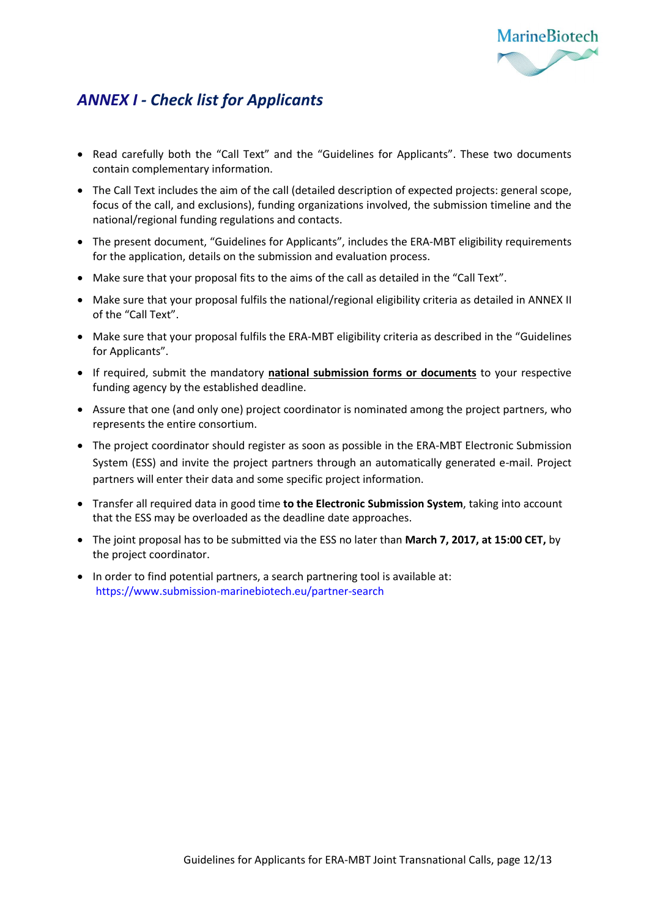

## <span id="page-11-0"></span>*ANNEX I - Check list for Applicants*

- Read carefully both the "Call Text" and the "Guidelines for Applicants". These two documents contain complementary information.
- The Call Text includes the aim of the call (detailed description of expected projects: general scope, focus of the call, and exclusions), funding organizations involved, the submission timeline and the national/regional funding regulations and contacts.
- The present document, "Guidelines for Applicants", includes the ERA-MBT eligibility requirements for the application, details on the submission and evaluation process.
- Make sure that your proposal fits to the aims of the call as detailed in the "Call Text".
- Make sure that your proposal fulfils the national/regional eligibility criteria as detailed in ANNEX II of the "Call Text".
- Make sure that your proposal fulfils the ERA-MBT eligibility criteria as described in the "Guidelines for Applicants".
- If required, submit the mandatory **national submission forms or documents** to your respective funding agency by the established deadline.
- Assure that one (and only one) project coordinator is nominated among the project partners, who represents the entire consortium.
- The project coordinator should register as soon as possible in the ERA-MBT Electronic Submission System (ESS) and invite the project partners through an automatically generated e-mail. Project partners will enter their data and some specific project information.
- Transfer all required data in good time **to the Electronic Submission System**, taking into account that the ESS may be overloaded as the deadline date approaches.
- The joint proposal has to be submitted via the ESS no later than **March 7, 2017, at 15:00 CET,** by the project coordinator.
- In order to find potential partners, a search partnering tool is available at: <https://www.submission-marinebiotech.eu/partner-search>